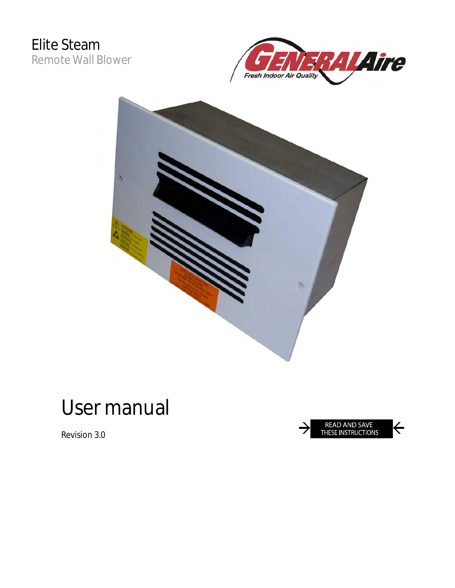





# **User manual**

**Revision 3.0**

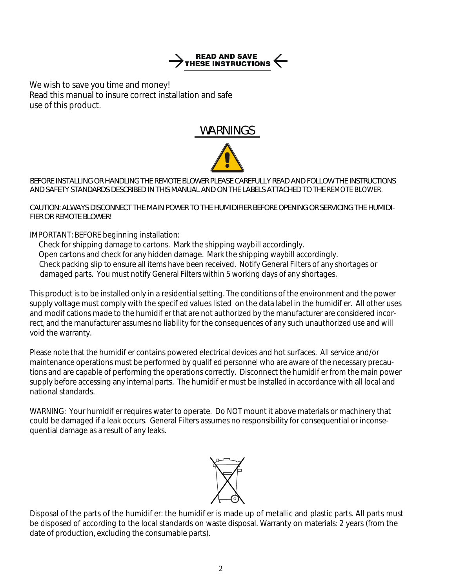

*We wish to save you time and money! Read this manual to insure correct installation and safe use of this product.* 

## **WARNINGS**



#### **BEFORE INSTALLING OR HANDLING THE REMOTE BLOWER PLEASE CAREFULLY READ AND FOLLOW THE INSTRUCTIONS AND SAFETY STANDARDS DESCRIBED IN THIS MANUAL AND ON THE LABELS ATTACHED TO THE** *REMOTE BLOWER.*

#### **CAUTION: ALWAYS DISCONNECT THE MAIN POWER TO THE HUMIDIFIER BEFORE OPENING OR SERVICING THE HUMIDI-FIER OR REMOTE BLOWER!**

IMPORTANT: BEFORE beginning installation:

 Check for shipping damage to cartons. Mark the shipping waybill accordingly. Open cartons and check for any hidden damage. Mark the shipping waybill accordingly. Check packing slip to ensure all items have been received. Notify General Filters of any shortages or damaged parts. You must notify General Filters within 5 working days of any shortages.

This product is to be installed only in a residential setting. The conditions of the environment and the power supply voltage must comply with the specied values listed on the data label in the humidier. All other uses and modications made to the humidier that are not authorized by the manufacturer are considered incorrect, and the manufacturer assumes no liability for the consequences of any such unauthorized use and will void the warranty.

Please note that the humidier contains powered electrical devices and hot surfaces. All service and/or maintenance operations must be performed by qualied personnel who are aware of the necessary precautions and are capable of performing the operations correctly. Disconnect the humidier from the main power supply before accessing any internal parts. The humidier must be installed in accordance with all local and national standards.

WARNING: Your humidier requires water to operate. Do NOT mount it above materials or machinery that could be damaged if a leak occurs. General Filters assumes no responsibility for consequential or inconsequential damage as a result of any leaks.



Disposal of the parts of the humidier: the humidier is made up of metallic and plastic parts. All parts must be disposed of according to the local standards on waste disposal. Warranty on materials: 2 years (from the date of production, excluding the consumable parts).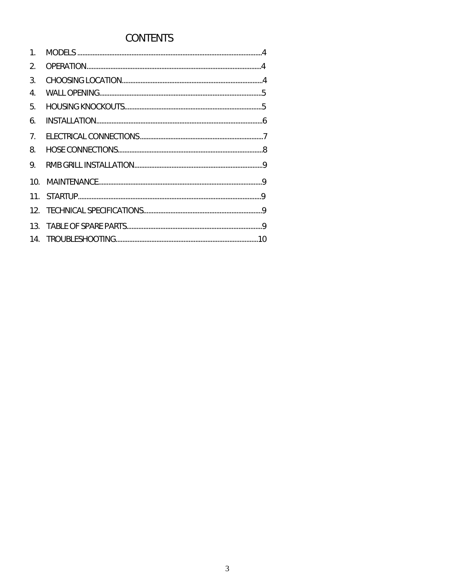# **CONTENTS**

| 2 <sub>1</sub> |  |
|----------------|--|
| 3.             |  |
| 4.             |  |
| 5.             |  |
| 6.             |  |
| 7 <sub>1</sub> |  |
| 8.             |  |
| 9.             |  |
|                |  |
|                |  |
|                |  |
|                |  |
|                |  |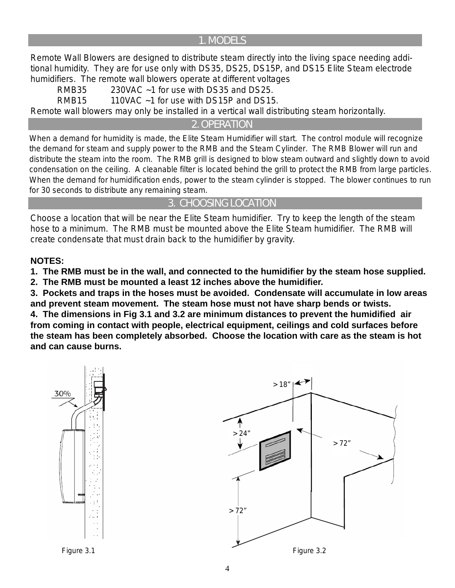#### **1. MODELS**

Remote Wall Blowers are designed to distribute steam directly into the living space needing additional humidity. They are for use only with DS35, DS25, DS15P, and DS15 Elite Steam electrode humidifiers. The remote wall blowers operate at different voltages

 RMB35 230VAC ~1 for use with DS35 and DS25. RMB15 110VAC  $\sim$  1 for use with DS15P and DS15. Remote wall blowers may only be installed in a vertical wall distributing steam horizontally.

**2. OPERATION**

When a demand for humidity is made, the Elite Steam Humidifier will start. The control module will recognize the demand for steam and supply power to the RMB and the Steam Cylinder. The RMB Blower will run and distribute the steam into the room. The RMB grill is designed to blow steam outward and slightly down to avoid condensation on the ceiling. A cleanable filter is located behind the grill to protect the RMB from large particles. When the demand for humidification ends, power to the steam cylinder is stopped. The blower continues to run for 30 seconds to distribute any remaining steam.

## **3. CHOOSING LOCATION**

Choose a location that will be near the Elite Steam humidifier. Try to keep the length of the steam hose to a minimum. The RMB must be mounted above the Elite Steam humidifier. The RMB will create condensate that must drain back to the humidifier by gravity.

#### **NOTES:**

**1. The RMB must be in the wall, and connected to the humidifier by the steam hose supplied. 2. The RMB must be mounted a least 12 inches above the humidifier.**

**3. Pockets and traps in the hoses must be avoided. Condensate will accumulate in low areas and prevent steam movement. The steam hose must not have sharp bends or twists.**

**4. The dimensions in Fig 3.1 and 3.2 are minimum distances to prevent the humidified air from coming in contact with people, electrical equipment, ceilings and cold surfaces before the steam has been completely absorbed. Choose the location with care as the steam is hot and can cause burns.**

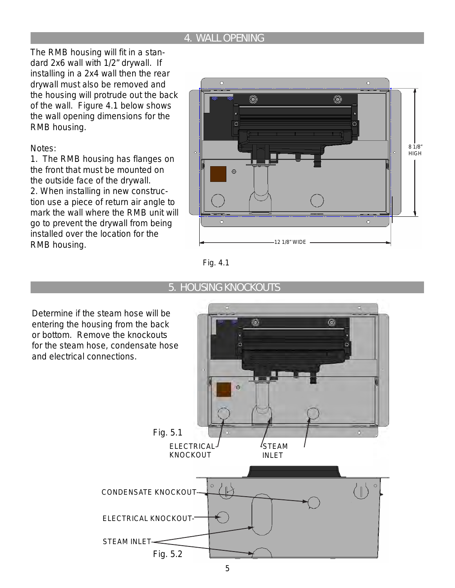## **4. WALL OPENING**

The RMB housing will fit in a standard 2x6 wall with 1/2" drywall. If installing in a 2x4 wall then the rear drywall must also be removed and the housing will protrude out the back of the wall. Figure 4.1 below shows the wall opening dimensions for the RMB housing.

Notes:

1. The RMB housing has flanges on the front that must be mounted on the outside face of the drywall. 2. When installing in new construction use a piece of return air angle to mark the wall where the RMB unit will go to prevent the drywall from being installed over the location for the RMB housing.  $\overline{a}$  and  $\overline{a}$  12 1/8" WIDE









Determine if the steam hose will be entering the housing from the back or bottom. Remove the knockouts for the steam hose, condensate hose and electrical connections.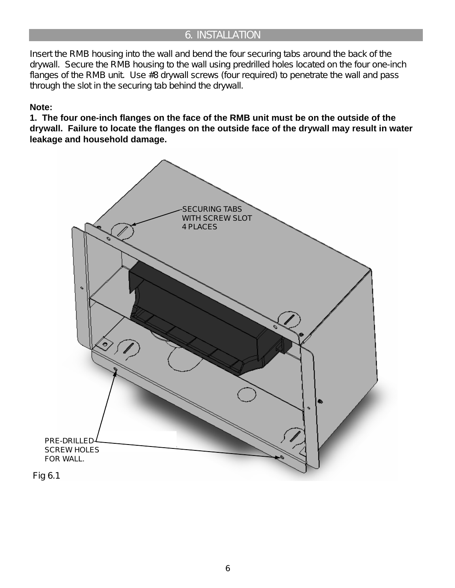## **6. INSTALLATION**

Insert the RMB housing into the wall and bend the four securing tabs around the back of the drywall. Secure the RMB housing to the wall using predrilled holes located on the four one-inch flanges of the RMB unit. Use #8 drywall screws (four required) to penetrate the wall and pass through the slot in the securing tab behind the drywall.

#### **Note:**

**1. The four one-inch flanges on the face of the RMB unit must be on the outside of the drywall. Failure to locate the flanges on the outside face of the drywall may result in water leakage and household damage.**

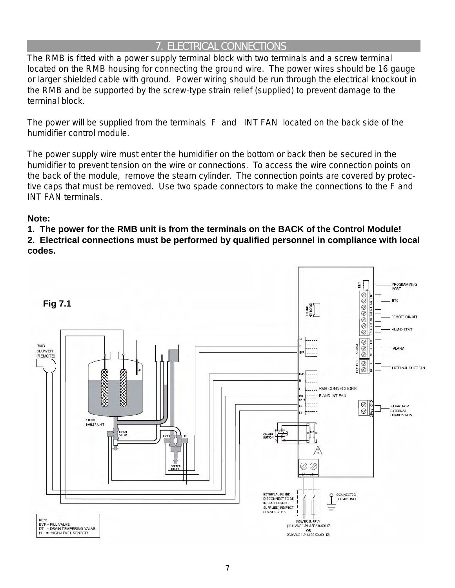## **7. ELECTRICAL CONNECTIONS**

The RMB is fitted with a power supply terminal block with two terminals and a screw terminal located on the RMB housing for connecting the ground wire. The power wires should be 16 gauge or larger shielded cable with ground. Power wiring should be run through the electrical knockout in the RMB and be supported by the screw-type strain relief (supplied) to prevent damage to the terminal block.

The power will be supplied from the terminals F and INT FAN located on the back side of the humidifier control module.

The power supply wire must enter the humidifier on the bottom or back then be secured in the humidifier to prevent tension on the wire or connections. To access the wire connection points on the back of the module, remove the steam cylinder. The connection points are covered by protective caps that must be removed. Use two spade connectors to make the connections to the F and INT FAN terminals.

#### **Note:**

**1. The power for the RMB unit is from the terminals on the BACK of the Control Module!**

**2. Electrical connections must be performed by qualified personnel in compliance with local codes.**

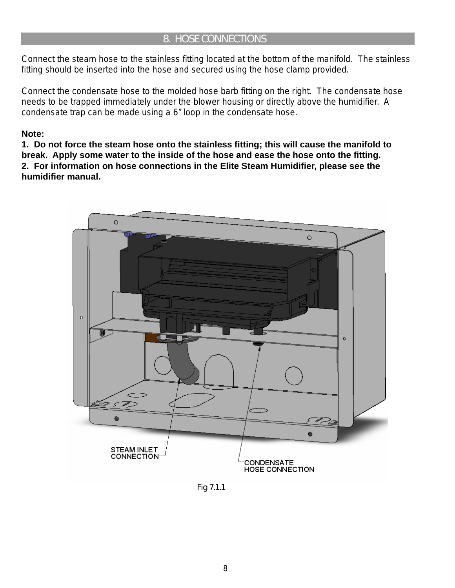## **8. HOSE CONNECTIONS**

Connect the steam hose to the stainless fitting located at the bottom of the manifold. The stainless fitting should be inserted into the hose and secured using the hose clamp provided.

Connect the condensate hose to the molded hose barb fitting on the right. The condensate hose needs to be trapped immediately under the blower housing or directly above the humidifier. A condensate trap can be made using a 6" loop in the condensate hose.

#### **Note:**

**1. Do not force the steam hose onto the stainless fitting; this will cause the manifold to break. Apply some water to the inside of the hose and ease the hose onto the fitting. 2. For information on hose connections in the Elite Steam Humidifier, please see the humidifier manual.**



*Fig 7.1.1*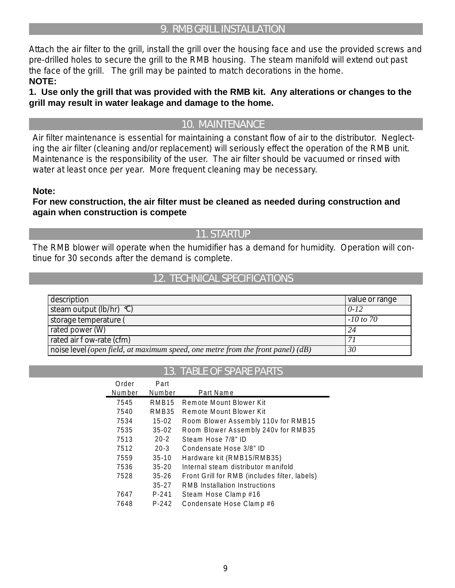## 9. RMB GRILL INSTALLATION

Attach the air filter to the grill, install the grill over the housing face and use the provided screws and pre-drilled holes to secure the grill to the RMB housing. The steam manifold will extend out past the face of the grill. The grill may be painted to match decorations in the home. **NOTE:** 

1. Use only the grill that was provided with the RMB kit. Any alterations or changes to the grill may result in water leakage and damage to the home.

## **10. MAINTENANCE**

Air filter maintenance is essential for maintaining a constant flow of air to the distributor. Neglecting the air filter (cleaning and/or replacement) will seriously effect the operation of the RMB unit. Maintenance is the responsibility of the user. The air filter should be vacuumed or rinsed with water at least once per year. More frequent cleaning may be necessary.

#### Note:

#### For new construction, the air filter must be cleaned as needed during construction and again when construction is compete

## **11. STARTUP**

The RMB blower will operate when the humidifier has a demand for humidity. Operation will continue for 30 seconds after the demand is complete.

#### **12. TECHNICAL SPECIFICATIONS**

| description                                                                      | $\vert$ value or range |
|----------------------------------------------------------------------------------|------------------------|
| steam output $(\frac{lb}{hr})$ °C)                                               | $0 - 12$               |
| storage temperature (                                                            | $-10$ to 70            |
| rated power $(W)$                                                                | 24                     |
| rated air $ow$ -rate (cfm)                                                       | 7 i                    |
| noise level (open field, at maximum speed, one metre from the front panel) $(d)$ | 30                     |

#### **13. TABLE OF SPARE PARTS**

| Order  | Part              |                                               |
|--------|-------------------|-----------------------------------------------|
| Number | Number            | Part Name                                     |
| 7545   | RMB <sub>15</sub> | Remote Mount Blower Kit                       |
| 7540   | RMB35             | Remote Mount Blower Kit                       |
| 7534   | $15 - 02$         | Room Blower Assembly 110v for RMB15           |
| 7535   | $35 - 02$         | Room Blower Assembly 240v for RMB35           |
| 7513   | $20 - 2$          | Steam Hose 7/8" ID                            |
| 7512   | $20 - 3$          | Condensate Hose 3/8" ID                       |
| 7559   | $35-10$           | Hardware kit (RMB15/RMB35)                    |
| 7536   | $35 - 20$         | Internal steam distributor manifold           |
| 7528   | $35 - 26$         | Front Grill for RMB (includes filter, labels) |
|        | $35 - 27$         | RMB Installation Instructions                 |
| 7647   | $P - 241$         | Steam Hose Clamp #16                          |
| 7648   | $P - 242$         | Condensate Hose Clamp #6                      |